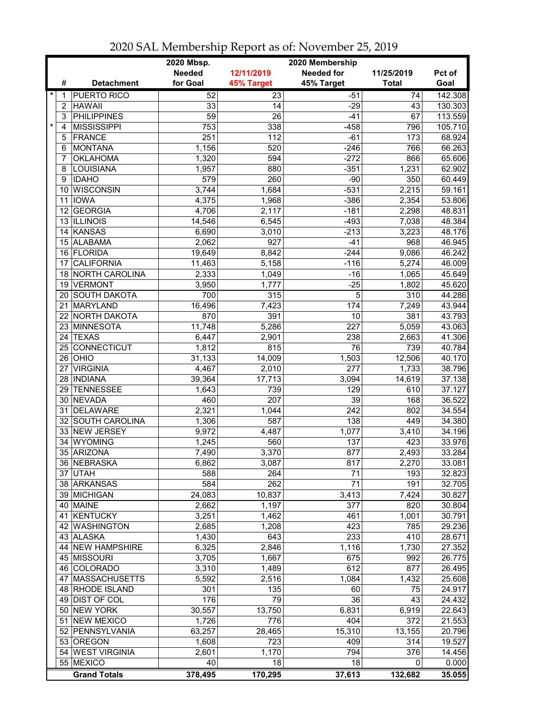|         |                 |                       | 2020 Mbsp.    |                 |                   |                  |         |
|---------|-----------------|-----------------------|---------------|-----------------|-------------------|------------------|---------|
|         |                 |                       | <b>Needed</b> | 12/11/2019      | <b>Needed for</b> | 11/25/2019       | Pct of  |
|         | #               | <b>Detachment</b>     | for Goal      | 45% Target      | 45% Target        | <b>Total</b>     | Goal    |
| *       | 1               | <b>PUERTO RICO</b>    | 52            | $\overline{23}$ | $-51$             | 74               | 142.308 |
|         | 2               | <b>HAWAII</b>         | 33            | 14              | $-29$             | 43               | 130.303 |
|         | 3               | <b>PHILIPPINES</b>    | 59            | $\overline{26}$ | $-41$             | 67               | 113.559 |
| $\star$ | 4               | <b>MISSISSIPPI</b>    | 753           | 338             | $-458$            | 796              | 105.710 |
|         | 5               | <b>FRANCE</b>         | 251           | 112             | $-61$             | 173              | 68.924  |
|         | 6               | <b>MONTANA</b>        | 1,156         | 520             | $-246$            | 766              | 66.263  |
|         | 7               | <b>OKLAHOMA</b>       | 1,320         | 594             | $-272$            | 866              | 65.606  |
|         | 8               | LOUISIANA             | 1,957         | 880             | $-351$            | 1,231            | 62.902  |
|         | 9               | <b>IDAHO</b>          | 579           | 260             | $-90$             | 350              | 60.449  |
|         | 10              | WISCONSIN             | 3,744         | 1,684           | $-531$            | 2,215            | 59.161  |
|         |                 | 11 IOWA               | 4,375         | 1,968           | $-386$            | 2,354            | 53.806  |
|         | 12 <sup>2</sup> | <b>GEORGIA</b>        | 4,706         | 2,117           | $-181$            | 2,298            | 48.831  |
|         |                 | 13 ILLINOIS           | 14,546        | 6,545           | $-493$            | 7,038            | 48.384  |
|         | 14              | <b>KANSAS</b>         | 6,690         | 3,010           | $-213$            | 3,223            | 48.176  |
|         |                 | 15 ALABAMA            | 2,062         | 927             | $-41$             | 968              | 46.945  |
|         |                 | 16 FLORIDA            | 19,649        | 8,842           | $-244$            | 9,086            | 46.242  |
|         | 17              | <b>CALIFORNIA</b>     | 11,463        | 5,158           | $-116$            | 5,274            | 46.009  |
|         | 18              | <b>NORTH CAROLINA</b> | 2,333         | 1,049           | $-16$             | 1,065            | 45.649  |
|         | 19              | <b>VERMONT</b>        | 3,950         | 1,777           | $-25$             | 1,802            | 45.620  |
|         | 20              | <b>SOUTH DAKOTA</b>   | 700           | 315             | $\overline{5}$    | 310              | 44.286  |
|         | 21              | MARYLAND              | 16,496        | 7,423           | 174               | 7,249            | 43.944  |
|         | 22              | <b>NORTH DAKOTA</b>   | 870           | 391             | 10                | 381              | 43.793  |
|         | 23              | MINNESOTA             | 11,748        | 5,286           | $\overline{227}$  | 5,059            | 43.063  |
|         | 24              | <b>TEXAS</b>          | 6,447         | 2,901           | 238               | 2,663            | 41.306  |
|         | 25              | <b>CONNECTICUT</b>    | 1,812         | 815             | $\overline{76}$   | 739              | 40.784  |
|         |                 | $26$ OHIO             | 31,133        | 14,009          | 1,503             | 12,506           | 40.170  |
|         |                 | 27 VIRGINIA           | 4,467         | 2,010           | $\overline{277}$  | 1,733            | 38.796  |
|         |                 | 28  INDIANA           | 39,364        | 17,713          | 3,094             | 14,619           | 37.138  |
|         |                 | 29 TENNESSEE          | 1,643         | 739             | 129               | 610              | 37.127  |
|         |                 | 30 NEVADA             | 460           | 207             | 39                | 168              | 36.522  |
|         |                 | 31 DELAWARE           | 2,321         | 1,044           | 242               | 802              | 34.554  |
|         |                 | 32 SOUTH CAROLINA     | 1,306         | 587             | 138               | 449              | 34.380  |
|         |                 | 33 NEW JERSEY         | 9,972         | 4,487           | 1,077             | 3,410            | 34.196  |
|         | 34              | WYOMING               | 1,245         | 560             | 137               | 423              | 33.976  |
|         |                 | 35 ARIZONA            | 7,490         | 3,370           | 877               | 2,493            | 33.284  |
|         |                 | 36 NEBRASKA           | 6,862         | 3,087           | 817               | 2,270            | 33.081  |
|         |                 | 37 UTAH               | 588           | 264             | 71                | 193              | 32.823  |
|         |                 | 38 ARKANSAS           | 584           | 262             | 71                | 191              | 32.705  |
|         |                 | 39 MICHIGAN           | 24,083        | 10,837          | 3,413             | 7,424            | 30.827  |
|         |                 | 40 MAINE              | 2,662         | 1,197           | 377               | 820              | 30.804  |
|         |                 | 41 KENTUCKY           | 3,251         | 1,462           | 461               | 1,001            | 30.791  |
|         | 42              | <b>WASHINGTON</b>     | 2,685         | 1,208           | 423               | 785              | 29.236  |
|         |                 | 43 ALASKA             | 1,430         | 643             | 233               | $\overline{410}$ | 28.671  |
|         |                 | 44 NEW HAMPSHIRE      | 6,325         | 2,846           | 1,116             | 1,730            | 27.352  |
|         |                 | 45 MISSOURI           | 3,705         | 1,667           | 675               | 992              | 26.775  |
|         |                 | 46 COLORADO           | 3,310         | 1,489           | 612               | 877              | 26.495  |
|         |                 | 47 MASSACHUSETTS      | 5,592         | 2,516           | 1,084             | 1,432            | 25.608  |
|         |                 | 48 RHODE ISLAND       | 301           | 135             | 60                | 75               | 24.917  |
|         |                 | 49 DIST OF COL        | 176           | 79              | 36                | 43               | 24.432  |
|         |                 | 50 NEW YORK           | 30,557        | 13,750          | 6,831             | 6,919            | 22.643  |
|         |                 | 51 NEW MEXICO         | 1,726         | 776             | 404               | 372              | 21.553  |
|         |                 | 52 PENNSYLVANIA       | 63,257        | 28,465          | 15,310            | 13,155           | 20.796  |
|         |                 | 53 OREGON             | 1,608         | 723             | 409               | 314              | 19.527  |
|         |                 | 54 WEST VIRGINIA      | 2,601         | 1,170           | 794               | 376              | 14.456  |
|         |                 | 55 MEXICO             | 40            | 18              | 18                | 0                | 0.000   |
|         |                 | <b>Grand Totals</b>   | 378,495       | 170,295         | 37,613            | 132,682          | 35.055  |

2020 SAL Membership Report as of: November 25, 2019